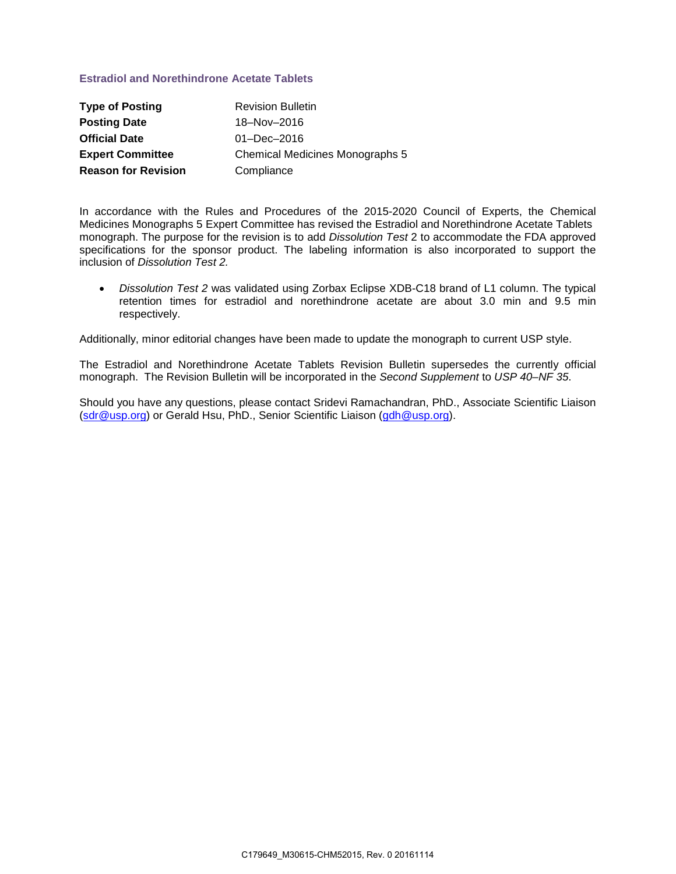## **Estradiol and Norethindrone Acetate Tablets**

| <b>Type of Posting</b>     | <b>Revision Bulletin</b>               |
|----------------------------|----------------------------------------|
| <b>Posting Date</b>        | 18-Nov-2016                            |
| <b>Official Date</b>       | $01 - Dec - 2016$                      |
| <b>Expert Committee</b>    | <b>Chemical Medicines Monographs 5</b> |
| <b>Reason for Revision</b> | Compliance                             |

In accordance with the Rules and Procedures of the 2015-2020 Council of Experts, the Chemical Medicines Monographs 5 Expert Committee has revised the Estradiol and Norethindrone Acetate Tablets monograph. The purpose for the revision is to add *Dissolution Test* 2 to accommodate the FDA approved specifications for the sponsor product. The labeling information is also incorporated to support the inclusion of *Dissolution Test 2.* 

• *Dissolution Test 2* was validated using Zorbax Eclipse XDB-C18 brand of L1 column. The typical retention times for estradiol and norethindrone acetate are about 3.0 min and 9.5 min respectively.

Additionally, minor editorial changes have been made to update the monograph to current USP style.

The Estradiol and Norethindrone Acetate Tablets Revision Bulletin supersedes the currently official monograph. The Revision Bulletin will be incorporated in the *Second Supplement* to *USP 40–NF 35*.

Should you have any questions, please contact Sridevi Ramachandran, PhD., Associate Scientific Liaison [\(sdr@usp.org\)](mailto:sdr@usp.org) or Gerald Hsu, PhD., Senior Scientific Liaison [\(gdh@usp.org\)](mailto:gdh@usp.org).